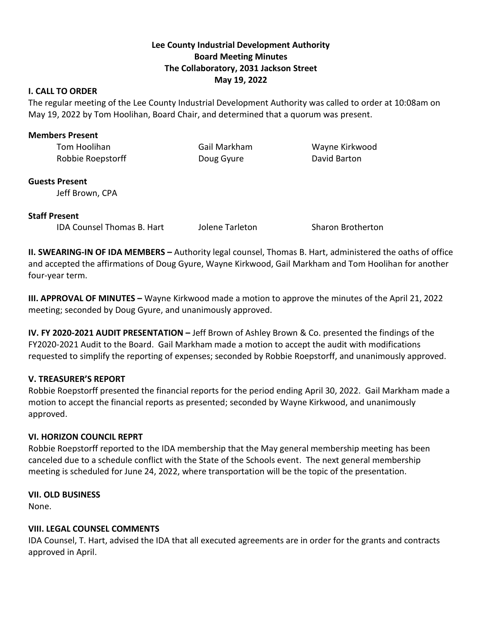# **Lee County Industrial Development Authority Board Meeting Minutes The Collaboratory, 2031 Jackson Street May 19, 2022**

### **I. CALL TO ORDER**

The regular meeting of the Lee County Industrial Development Authority was called to order at 10:08am on May 19, 2022 by Tom Hoolihan, Board Chair, and determined that a quorum was present.

### **Members Present**

Tom Hoolihan Gail Markham Wayne Kirkwood Robbie Roepstorff **Communist Communist Communist Communist Communist Communist Communist Communist Communist Communist Communist Communist Communist Communist Communist Communist Communist Communist Communist Communist Com** 

## **Guests Present**

Jeff Brown, CPA

## **Staff Present**

IDA Counsel Thomas B. Hart Jolene Tarleton Sharon Brotherton

**II. SWEARING-IN OF IDA MEMBERS –** Authority legal counsel, Thomas B. Hart, administered the oaths of office and accepted the affirmations of Doug Gyure, Wayne Kirkwood, Gail Markham and Tom Hoolihan for another four-year term.

**III. APPROVAL OF MINUTES –** Wayne Kirkwood made a motion to approve the minutes of the April 21, 2022 meeting; seconded by Doug Gyure, and unanimously approved.

**IV. FY 2020-2021 AUDIT PRESENTATION –** Jeff Brown of Ashley Brown & Co. presented the findings of the FY2020-2021 Audit to the Board. Gail Markham made a motion to accept the audit with modifications requested to simplify the reporting of expenses; seconded by Robbie Roepstorff, and unanimously approved.

## **V. TREASURER'S REPORT**

Robbie Roepstorff presented the financial reports for the period ending April 30, 2022. Gail Markham made a motion to accept the financial reports as presented; seconded by Wayne Kirkwood, and unanimously approved.

#### **VI. HORIZON COUNCIL REPRT**

Robbie Roepstorff reported to the IDA membership that the May general membership meeting has been canceled due to a schedule conflict with the State of the Schools event. The next general membership meeting is scheduled for June 24, 2022, where transportation will be the topic of the presentation.

## **VII. OLD BUSINESS**

None.

## **VIII. LEGAL COUNSEL COMMENTS**

IDA Counsel, T. Hart, advised the IDA that all executed agreements are in order for the grants and contracts approved in April.